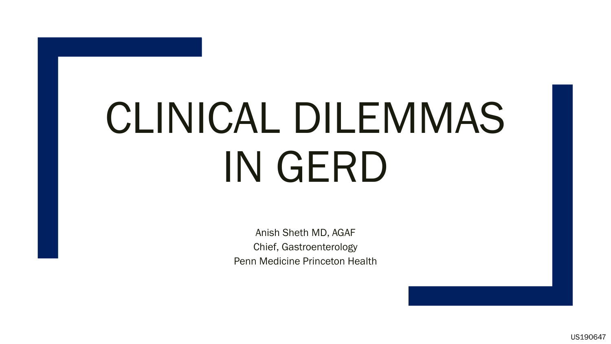# CLINICAL DILEMMAS IN GERD

Anish Sheth MD, AGAF Chief, Gastroenterology Penn Medicine Princeton Health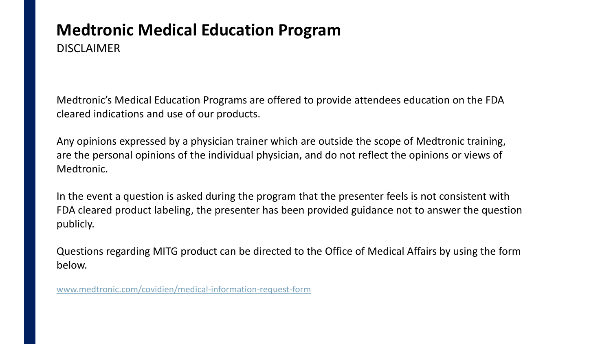#### **Medtronic Medical Education Program**  DISCLAIMER

Medtronic's Medical Education Programs are offered to provide attendees education on the FDA cleared indications and use of our products.

Any opinions expressed by a physician trainer which are outside the scope of Medtronic training, are the personal opinions of the individual physician, and do not reflect the opinions or views of Medtronic.

In the event a question is asked during the program that the presenter feels is not consistent with FDA cleared product labeling, the presenter has been provided guidance not to answer the question publicly.

Questions regarding MITG product can be directed to the Office of Medical Affairs by using the form below.

[www.medtronic.com/covidien/medical-information-request-form](http://www.medtronic.com/covidien/medical-information-request-form)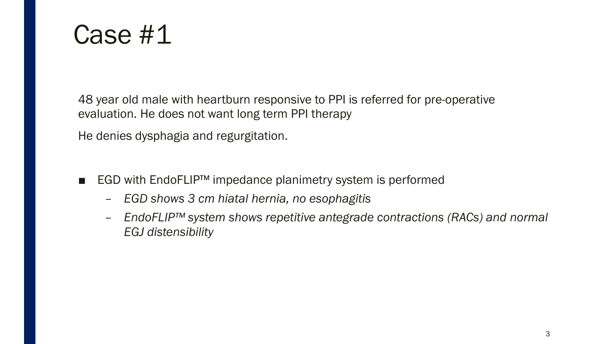#### Case #1

48 year old male with heartburn responsive to PPI is referred for pre-operative evaluation. He does not want long term PPI therapy

He denies dysphagia and regurgitation.

- EGD with EndoFLIP<sup>™</sup> impedance planimetry system is performed
	- *EGD shows 3 cm hiatal hernia, no esophagitis*
	- *EndoFLIP™ system shows repetitive antegrade contractions (RACs) and normal EGJ distensibility*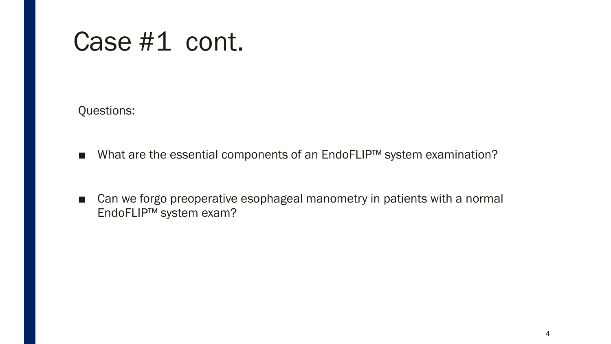## Case #1 cont.

Questions:

- What are the essential components of an EndoFLIP<sup>™</sup> system examination?
- Can we forgo preoperative esophageal manometry in patients with a normal EndoFLIP™ system exam?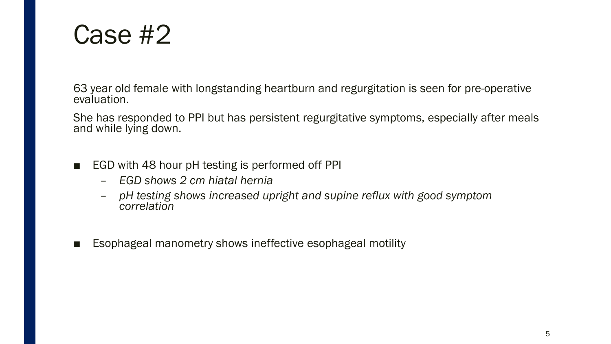#### Case #2

63 year old female with longstanding heartburn and regurgitation is seen for pre-operative evaluation.

She has responded to PPI but has persistent regurgitative symptoms, especially after meals and while lying down.

- EGD with 48 hour pH testing is performed off PPI
	- *EGD shows 2 cm hiatal hernia*
	- *pH testing shows increased upright and supine reflux with good symptom correlation*
- Esophageal manometry shows ineffective esophageal motility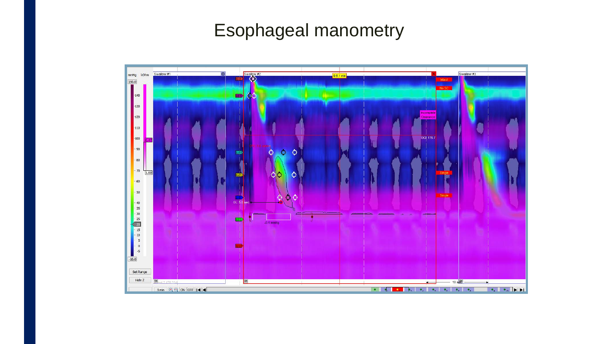#### Esophageal manometry

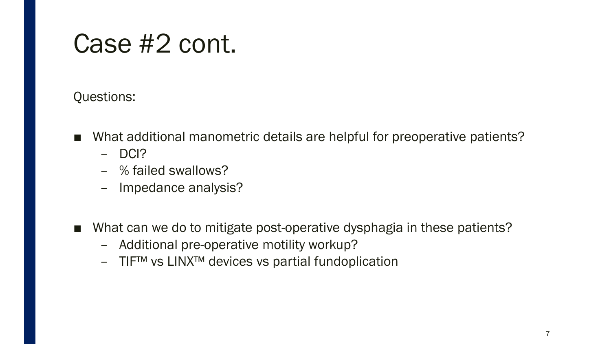## Case #2 cont.

#### Questions:

- What additional manometric details are helpful for preoperative patients?
	- DCI?
	- % failed swallows?
	- Impedance analysis?
- What can we do to mitigate post-operative dysphagia in these patients?
	- Additional pre-operative motility workup?
	- TIF™ vs LINX™ devices vs partial fundoplication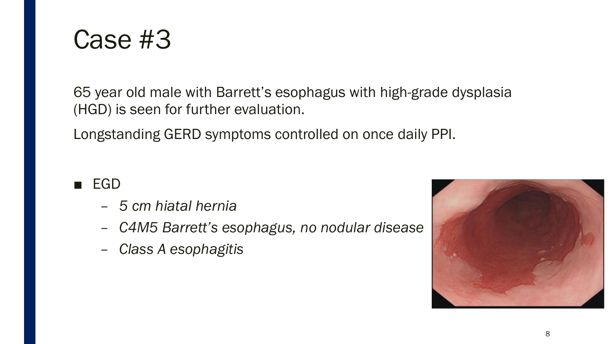

65 year old male with Barrett's esophagus with high-grade dysplasia (HGD) is seen for further evaluation.

Longstanding GERD symptoms controlled on once daily PPI.

- EGD
	- *5 cm hiatal hernia*
	- *C4M5 Barrett's esophagus, no nodular disease*
	- *Class A esophagitis*